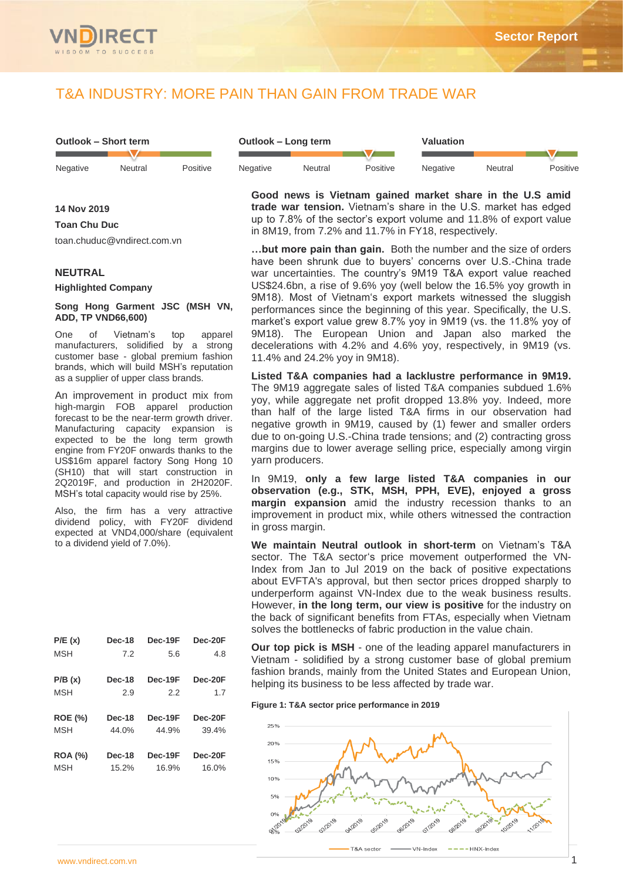

# T&A INDUSTRY: MORE PAIN THAN GAIN FROM TRADE WAR

| Outlook – Short term |         |          | Outlook – Long term |         |          | Valuation |         |          |  |
|----------------------|---------|----------|---------------------|---------|----------|-----------|---------|----------|--|
|                      |         |          |                     |         |          |           |         |          |  |
| Negative             | Neutral | Positive | <b>Negative</b>     | Neutral | Positive | Negative  | Neutral | Positive |  |

**Good news is Vietnam gained market share in the U.S amid trade war tension.** Vietnam's share in the U.S. market has edged up to 7.8% of the sector's export volume and 11.8% of export value in 8M19, from 7.2% and 11.7% in FY18, respectively.

**…but more pain than gain.** Both the number and the size of orders have been shrunk due to buyers' concerns over U.S.-China trade war uncertainties. The country's 9M19 T&A export value reached US\$24.6bn, a rise of 9.6% yoy (well below the 16.5% yoy growth in 9M18). Most of Vietnam's export markets witnessed the sluggish performances since the beginning of this year. Specifically, the U.S. market's export value grew 8.7% yoy in 9M19 (vs. the 11.8% yoy of 9M18). The European Union and Japan also marked the decelerations with 4.2% and 4.6% yoy, respectively, in 9M19 (vs. 11.4% and 24.2% yoy in 9M18).

**Listed T&A companies had a lacklustre performance in 9M19.** The 9M19 aggregate sales of listed T&A companies subdued 1.6% yoy, while aggregate net profit dropped 13.8% yoy. Indeed, more than half of the large listed T&A firms in our observation had negative growth in 9M19, caused by (1) fewer and smaller orders due to on-going U.S.-China trade tensions; and (2) contracting gross margins due to lower average selling price, especially among virgin yarn producers.

In 9M19, **only a few large listed T&A companies in our observation (e.g., STK, MSH, PPH, EVE), enjoyed a gross margin expansion** amid the industry recession thanks to an improvement in product mix, while others witnessed the contraction in gross margin.

**We maintain Neutral outlook in short-term** on Vietnam's T&A sector. The T&A sector's price movement outperformed the VN-Index from Jan to Jul 2019 on the back of positive expectations about EVFTA's approval, but then sector prices dropped sharply to underperform against VN-Index due to the weak business results. However, **in the long term, our view is positive** for the industry on the back of significant benefits from FTAs, especially when Vietnam solves the bottlenecks of fabric production in the value chain.

**Our top pick is MSH** - one of the leading apparel manufacturers in Vietnam - solidified by a strong customer base of global premium fashion brands, mainly from the United States and European Union, helping its business to be less affected by trade war.

**Figure 1: T&A sector price performance in 2019**



**14 Nov 2019**

**Toan Chu Duc**

toan.chuduc@vndirect.com.vn

## **NEUTRAL**

**Highlighted Company**

## **Song Hong Garment JSC (MSH VN, ADD, TP VND66,600)**

One of Vietnam's top apparel manufacturers, solidified by a strong customer base - global premium fashion brands, which will build MSH's reputation as a supplier of upper class brands.

An improvement in product mix from high-margin FOB apparel production forecast to be the near-term growth driver. Manufacturing capacity expansion is expected to be the long term growth engine from FY20F onwards thanks to the US\$16m apparel factory Song Hong 10 (SH10) that will start construction in 2Q2019F, and production in 2H2020F. MSH's total capacity would rise by 25%.

Also, the firm has a very attractive dividend policy, with FY20F dividend expected at VND4,000/share (equivalent to a dividend yield of 7.0%).

| P/E(x)         | <b>Dec-18</b> | Dec-19F | $Dec-20F$ |
|----------------|---------------|---------|-----------|
| <b>MSH</b>     | 7.2           | 5.6     | 4.8       |
| P/B(x)         | <b>Dec-18</b> | Dec-19F | $Dec-20F$ |
| <b>MSH</b>     | 2.9           | 2.2     | 1.7       |
| <b>ROE (%)</b> | <b>Dec-18</b> | Dec-19F | Dec-20F   |
| <b>MSH</b>     | 44.0%         | 44.9%   | 39.4%     |
| <b>ROA (%)</b> | <b>Dec-18</b> | Dec-19F | Dec-20F   |
| <b>MSH</b>     | 15.2%         | 16.9%   | 16.0%     |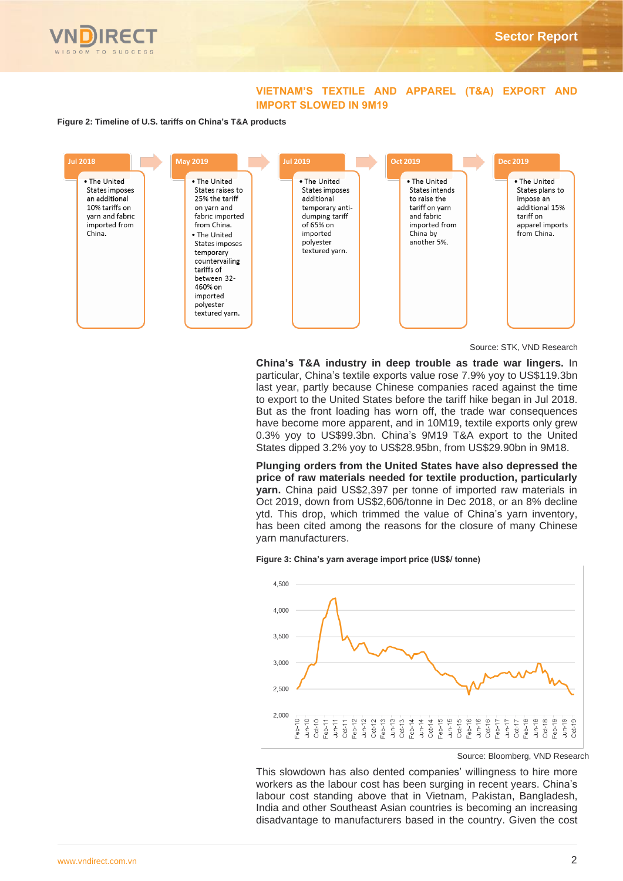

## **VIETNAM'S TEXTILE AND APPAREL (T&A) EXPORT AND IMPORT SLOWED IN 9M19**

### **Figure 2: Timeline of U.S. tariffs on China's T&A products**



Source: STK, VND Research

**China's T&A industry in deep trouble as trade war lingers.** In particular, China's textile exports value rose 7.9% yoy to US\$119.3bn last year, partly because Chinese companies raced against the time to export to the United States before the tariff hike began in Jul 2018. But as the front loading has worn off, the trade war consequences have become more apparent, and in 10M19, textile exports only grew 0.3% yoy to US\$99.3bn. China's 9M19 T&A export to the United States dipped 3.2% yoy to US\$28.95bn, from US\$29.90bn in 9M18.

**Plunging orders from the United States have also depressed the price of raw materials needed for textile production, particularly yarn.** China paid US\$2,397 per tonne of imported raw materials in Oct 2019, down from US\$2,606/tonne in Dec 2018, or an 8% decline ytd. This drop, which trimmed the value of China's yarn inventory, has been cited among the reasons for the closure of many Chinese yarn manufacturers.

#### **Figure 3: China's yarn average import price (US\$/ tonne)**



Source: Bloomberg, VND Research

This slowdown has also dented companies' willingness to hire more workers as the labour cost has been surging in recent years. China's labour cost standing above that in Vietnam, Pakistan, Bangladesh, India and other Southeast Asian countries is becoming an increasing disadvantage to manufacturers based in the country. Given the cost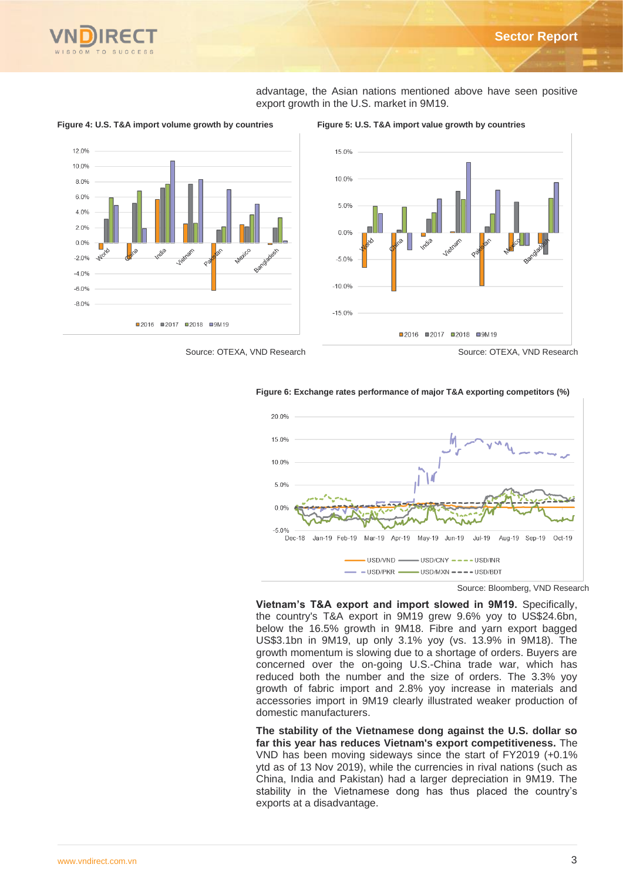

advantage, the Asian nations mentioned above have seen positive export growth in the U.S. market in 9M19.



**Figure 4: U.S. T&A import volume growth by countries Figure 5: U.S. T&A import value growth by countries**



Source: OTEXA, VND Research Source: OTEXA, VND Research

#### **Figure 6: Exchange rates performance of major T&A exporting competitors (%)**



Source: Bloomberg, VND Research

**Vietnam's T&A export and import slowed in 9M19.** Specifically, the country's T&A export in 9M19 grew 9.6% yoy to US\$24.6bn, below the 16.5% growth in 9M18. Fibre and yarn export bagged US\$3.1bn in 9M19, up only 3.1% yoy (vs. 13.9% in 9M18). The growth momentum is slowing due to a shortage of orders. Buyers are concerned over the on-going U.S.-China trade war, which has reduced both the number and the size of orders. The 3.3% yoy growth of fabric import and 2.8% yoy increase in materials and accessories import in 9M19 clearly illustrated weaker production of domestic manufacturers.

**The stability of the Vietnamese dong against the U.S. dollar so far this year has reduces Vietnam's export competitiveness.** The VND has been moving sideways since the start of FY2019 (+0.1% ytd as of 13 Nov 2019), while the currencies in rival nations (such as China, India and Pakistan) had a larger depreciation in 9M19. The stability in the Vietnamese dong has thus placed the country's exports at a disadvantage.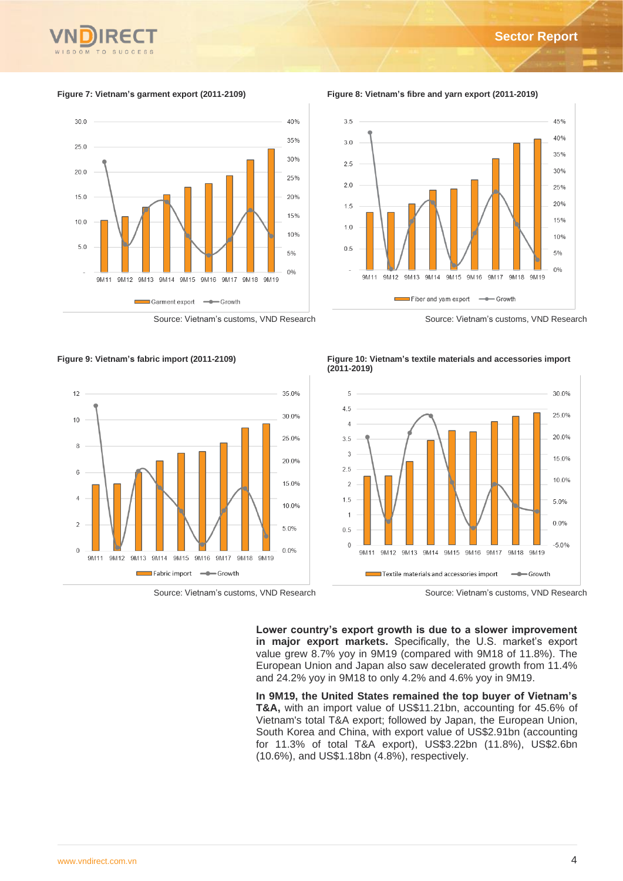

**Figure 7: Vietnam's garment export (2011-2109) Figure 8: Vietnam's fibre and yarn export (2011-2019)**



Source: Vietnam's customs, VND Research Source: Vietnam's customs, VND Research

 $3.5$ 45%  $40%$  $3.0$ 35%  $25$ 30%  $20$  $25%$ 20%  $1.5$ 15%  $1.0$  $10%$  $0.5$ 5%  $0%$ 9M11 9M12 9M13 9M14 9M15 9M16 9M17 9M18 9M19



Fiber and yam export - Growth

е



Source: Vietnam's customs, VND Research Source: Vietnam's customs, VND Research

**Lower country's export growth is due to a slower improvement in major export markets.** Specifically, the U.S. market's export value grew 8.7% yoy in 9M19 (compared with 9M18 of 11.8%). The European Union and Japan also saw decelerated growth from 11.4% and 24.2% yoy in 9M18 to only 4.2% and 4.6% yoy in 9M19.

**In 9M19, the United States remained the top buyer of Vietnam's T&A,** with an import value of US\$11.21bn, accounting for 45.6% of Vietnam's total T&A export; followed by Japan, the European Union, South Korea and China, with export value of US\$2.91bn (accounting for 11.3% of total T&A export), US\$3.22bn (11.8%), US\$2.6bn (10.6%), and US\$1.18bn (4.8%), respectively.

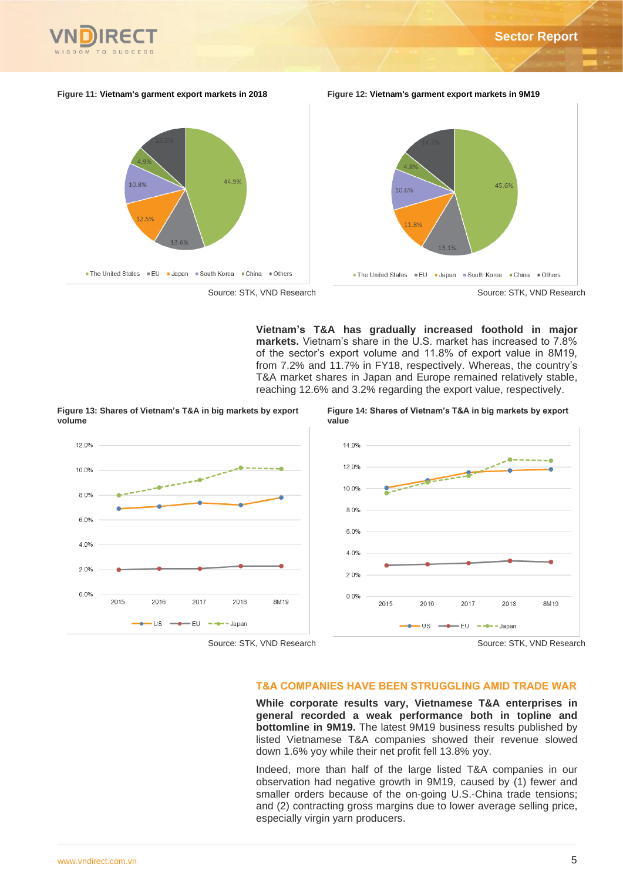

#### **Figure 11: Vietnam's garment export markets in 2018 Figure 12: Vietnam's garment export markets in 9M19**



**Vietnam's T&A has gradually increased foothold in major markets.** Vietnam's share in the U.S. market has increased to 7.8% of the sector's export volume and 11.8% of export value in 8M19, from 7.2% and 11.7% in FY18, respectively. Whereas, the country's T&A market shares in Japan and Europe remained relatively stable, reaching 12.6% and 3.2% regarding the export value, respectively.

**Figure 13: Shares of Vietnam's T&A in big markets by export volume**





## **T&A COMPANIES HAVE BEEN STRUGGLING AMID TRADE WAR**

**While corporate results vary, Vietnamese T&A enterprises in general recorded a weak performance both in topline and bottomline in 9M19.** The latest 9M19 business results published by listed Vietnamese T&A companies showed their revenue slowed down 1.6% yoy while their net profit fell 13.8% yoy.

Indeed, more than half of the large listed T&A companies in our observation had negative growth in 9M19, caused by (1) fewer and smaller orders because of the on-going U.S.-China trade tensions; and (2) contracting gross margins due to lower average selling price, especially virgin yarn producers.

 $120%$ 

10.0%

8.0%

 $6.0%$ 

4.0%

 $2.0%$ 

 $0.0%$ 

2015

2016

2017

2018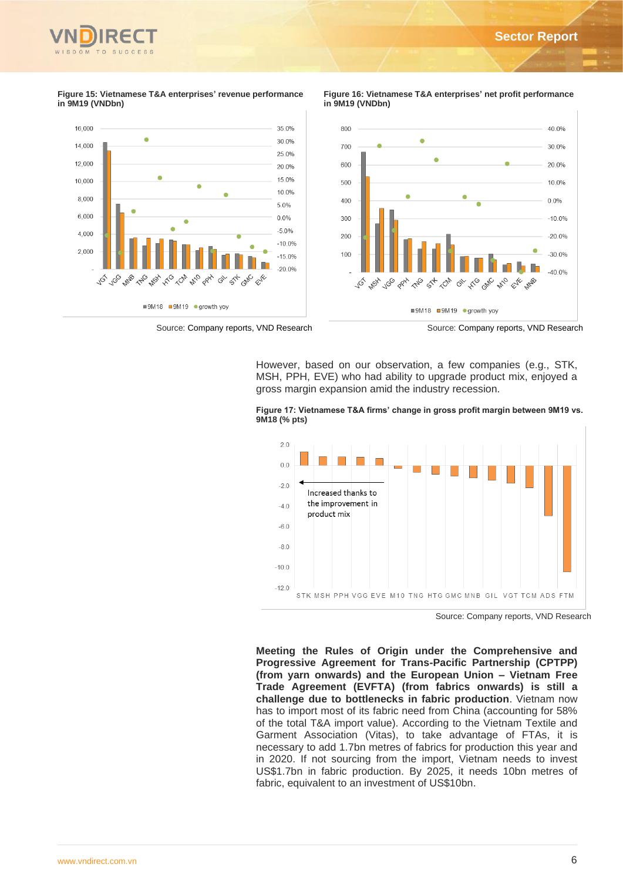

#### **Figure 15: Vietnamese T&A enterprises' revenue performance in 9M19 (VNDbn)**



**Figure 16: Vietnamese T&A enterprises' net profit performance in 9M19 (VNDbn)**



Source: Company reports, VND Research Source: Company reports, VND Research

■9M18 ■9M19 ● growth yoy

However, based on our observation, a few companies (e.g., STK, MSH, PPH, EVE) who had ability to upgrade product mix, enjoyed a gross margin expansion amid the industry recession.



**Figure 17: Vietnamese T&A firms' change in gross profit margin between 9M19 vs. 9M18 (% pts)**

Source: Company reports, VND Research

**Meeting the Rules of Origin under the Comprehensive and Progressive Agreement for Trans-Pacific Partnership (CPTPP) (from yarn onwards) and the European Union – Vietnam Free Trade Agreement (EVFTA) (from fabrics onwards) is still a challenge due to bottlenecks in fabric production**. Vietnam now has to import most of its fabric need from China (accounting for 58% of the total T&A import value). According to the Vietnam Textile and Garment Association (Vitas), to take advantage of FTAs, it is necessary to add 1.7bn metres of fabrics for production this year and in 2020. If not sourcing from the import, Vietnam needs to invest US\$1.7bn in fabric production. By 2025, it needs 10bn metres of fabric, equivalent to an investment of US\$10bn.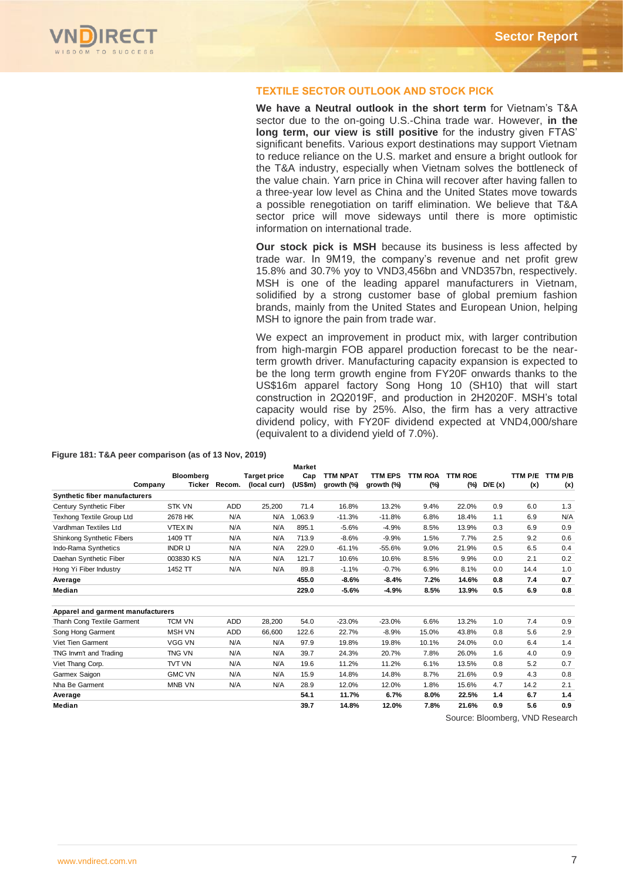

## **TEXTILE SECTOR OUTLOOK AND STOCK PICK**

**We have a Neutral outlook in the short term** for Vietnam's T&A sector due to the on-going U.S.-China trade war. However, **in the long term, our view is still positive** for the industry given FTAS' significant benefits. Various export destinations may support Vietnam to reduce reliance on the U.S. market and ensure a bright outlook for the T&A industry, especially when Vietnam solves the bottleneck of the value chain. Yarn price in China will recover after having fallen to a three-year low level as China and the United States move towards a possible renegotiation on tariff elimination. We believe that T&A sector price will move sideways until there is more optimistic information on international trade.

**Our stock pick is MSH** because its business is less affected by trade war. In 9M19, the company's revenue and net profit grew 15.8% and 30.7% yoy to VND3,456bn and VND357bn, respectively. MSH is one of the leading apparel manufacturers in Vietnam, solidified by a strong customer base of global premium fashion brands, mainly from the United States and European Union, helping MSH to ignore the pain from trade war.

We expect an improvement in product mix, with larger contribution from high-margin FOB apparel production forecast to be the nearterm growth driver. Manufacturing capacity expansion is expected to be the long term growth engine from FY20F onwards thanks to the US\$16m apparel factory Song Hong 10 (SH10) that will start construction in 2Q2019F, and production in 2H2020F. MSH's total capacity would rise by 25%. Also, the firm has a very attractive dividend policy, with FY20F dividend expected at VND4,000/share (equivalent to a dividend yield of 7.0%).

|                                      |                   |            |                     | <b>Market</b> |                 |                |                |                |        |         |                                  |
|--------------------------------------|-------------------|------------|---------------------|---------------|-----------------|----------------|----------------|----------------|--------|---------|----------------------------------|
|                                      | Bloomberg         |            | <b>Target price</b> | Cap           | <b>TTM NPAT</b> | <b>TTM EPS</b> | <b>TTM ROA</b> | <b>TTM ROE</b> |        | TTM P/E | TTM P/B                          |
|                                      | Ticker<br>Company | Recom.     | (local curr)        | (US\$m)       | growth (%)      | growth (%)     | (%)            | (%)            | D/E(x) | (x)     | (x)                              |
| <b>Synthetic fiber manufacturers</b> |                   |            |                     |               |                 |                |                |                |        |         |                                  |
| Century Synthetic Fiber              | <b>STK VN</b>     | <b>ADD</b> | 25,200              | 71.4          | 16.8%           | 13.2%          | 9.4%           | 22.0%          | 0.9    | 6.0     | 1.3                              |
| <b>Texhong Textile Group Ltd</b>     | 2678 HK           | N/A        | N/A                 | 1.063.9       | $-11.3%$        | $-11.8%$       | 6.8%           | 18.4%          | 1.1    | 6.9     | N/A                              |
| Vardhman Textiles Ltd                | <b>VTEX IN</b>    | N/A        | N/A                 | 895.1         | $-5.6%$         | $-4.9%$        | 8.5%           | 13.9%          | 0.3    | 6.9     | 0.9                              |
| Shinkong Synthetic Fibers            | 1409 TT           | N/A        | N/A                 | 713.9         | $-8.6%$         | $-9.9%$        | 1.5%           | 7.7%           | 2.5    | 9.2     | 0.6                              |
| Indo-Rama Synthetics                 | <b>INDR IJ</b>    | N/A        | N/A                 | 229.0         | $-61.1%$        | $-55.6%$       | 9.0%           | 21.9%          | 0.5    | 6.5     | 0.4                              |
| Daehan Synthetic Fiber               | 003830 KS         | N/A        | N/A                 | 121.7         | 10.6%           | 10.6%          | 8.5%           | 9.9%           | 0.0    | 2.1     | 0.2                              |
| Hong Yi Fiber Industry               | 1452 TT           | N/A        | N/A                 | 89.8          | $-1.1%$         | $-0.7%$        | 6.9%           | 8.1%           | 0.0    | 14.4    | 1.0                              |
| Average                              |                   |            |                     | 455.0         | $-8.6%$         | $-8.4%$        | 7.2%           | 14.6%          | 0.8    | 7.4     | 0.7                              |
| Median                               |                   |            |                     | 229.0         | $-5.6%$         | $-4.9%$        | 8.5%           | 13.9%          | 0.5    | 6.9     | 0.8                              |
| Apparel and garment manufacturers    |                   |            |                     |               |                 |                |                |                |        |         |                                  |
| Thanh Cong Textile Garment           | <b>TCM VN</b>     | ADD        | 28,200              | 54.0          | $-23.0%$        | $-23.0%$       | 6.6%           | 13.2%          | 1.0    | 7.4     | 0.9                              |
| Song Hong Garment                    | <b>MSH VN</b>     | <b>ADD</b> | 66,600              | 122.6         | 22.7%           | $-8.9%$        | 15.0%          | 43.8%          | 0.8    | 5.6     | 2.9                              |
| Viet Tien Garment                    | <b>VGG VN</b>     | N/A        | N/A                 | 97.9          | 19.8%           | 19.8%          | 10.1%          | 24.0%          | 0.0    | 6.4     | 1.4                              |
| TNG Invm't and Trading               | TNG VN            | N/A        | N/A                 | 39.7          | 24.3%           | 20.7%          | 7.8%           | 26.0%          | 1.6    | 4.0     | 0.9                              |
| Viet Thang Corp.                     | <b>TVT VN</b>     | N/A        | N/A                 | 19.6          | 11.2%           | 11.2%          | 6.1%           | 13.5%          | 0.8    | 5.2     | 0.7                              |
| Garmex Saigon                        | <b>GMC VN</b>     | N/A        | N/A                 | 15.9          | 14.8%           | 14.8%          | 8.7%           | 21.6%          | 0.9    | 4.3     | 0.8                              |
| Nha Be Garment                       | <b>MNB VN</b>     | N/A        | N/A                 | 28.9          | 12.0%           | 12.0%          | 1.8%           | 15.6%          | 4.7    | 14.2    | 2.1                              |
| Average                              |                   |            |                     | 54.1          | 11.7%           | 6.7%           | 8.0%           | 22.5%          | 1.4    | 6.7     | 1.4                              |
| Median                               |                   |            |                     | 39.7          | 14.8%           | 12.0%          | 7.8%           | 21.6%          | 0.9    | 5.6     | 0.9                              |
|                                      |                   |            |                     |               |                 |                |                |                |        |         | Course: Dleamhara, VAID Dessarak |

#### **Figure 181: T&A peer comparison (as of 13 Nov, 2019)**

Source: Bloomberg, VND Research